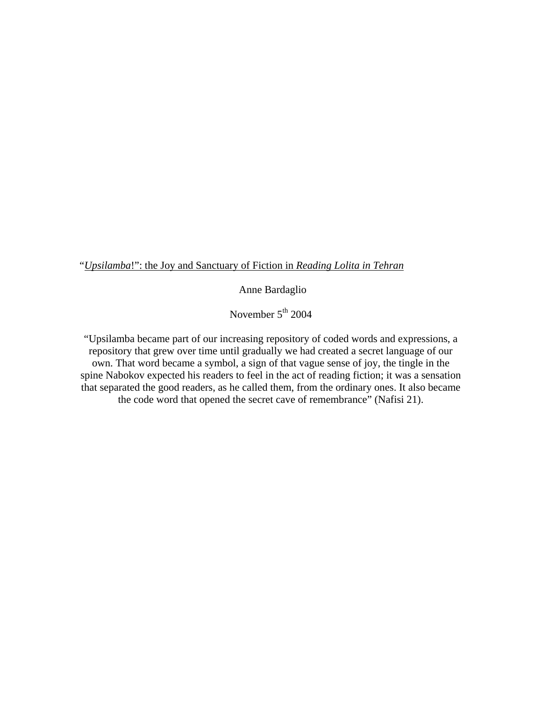"*Upsilamba*!": the Joy and Sanctuary of Fiction in *Reading Lolita in Tehran*

Anne Bardaglio

November 5<sup>th</sup> 2004

"Upsilamba became part of our increasing repository of coded words and expressions, a repository that grew over time until gradually we had created a secret language of our own. That word became a symbol, a sign of that vague sense of joy, the tingle in the spine Nabokov expected his readers to feel in the act of reading fiction; it was a sensation that separated the good readers, as he called them, from the ordinary ones. It also became the code word that opened the secret cave of remembrance" (Nafisi 21).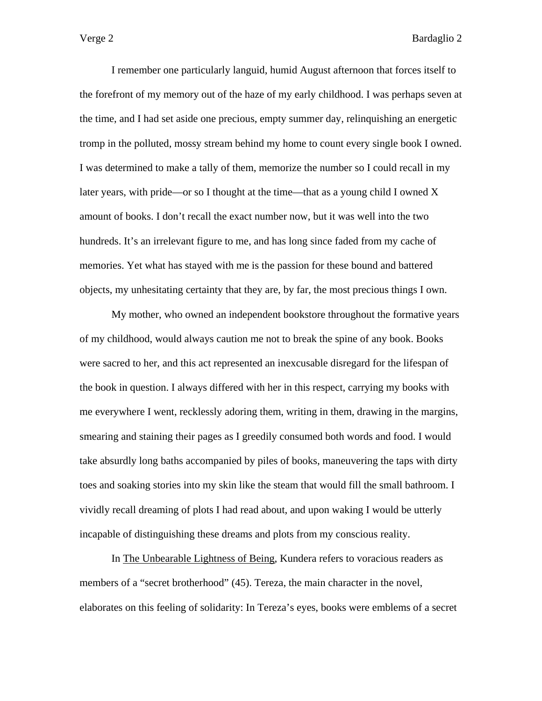I remember one particularly languid, humid August afternoon that forces itself to the forefront of my memory out of the haze of my early childhood. I was perhaps seven at the time, and I had set aside one precious, empty summer day, relinquishing an energetic tromp in the polluted, mossy stream behind my home to count every single book I owned. I was determined to make a tally of them, memorize the number so I could recall in my later years, with pride—or so I thought at the time—that as a young child I owned  $X$ amount of books. I don't recall the exact number now, but it was well into the two hundreds. It's an irrelevant figure to me, and has long since faded from my cache of memories. Yet what has stayed with me is the passion for these bound and battered objects, my unhesitating certainty that they are, by far, the most precious things I own.

 My mother, who owned an independent bookstore throughout the formative years of my childhood, would always caution me not to break the spine of any book. Books were sacred to her, and this act represented an inexcusable disregard for the lifespan of the book in question. I always differed with her in this respect, carrying my books with me everywhere I went, recklessly adoring them, writing in them, drawing in the margins, smearing and staining their pages as I greedily consumed both words and food. I would take absurdly long baths accompanied by piles of books, maneuvering the taps with dirty toes and soaking stories into my skin like the steam that would fill the small bathroom. I vividly recall dreaming of plots I had read about, and upon waking I would be utterly incapable of distinguishing these dreams and plots from my conscious reality.

In The Unbearable Lightness of Being, Kundera refers to voracious readers as members of a "secret brotherhood" (45). Tereza, the main character in the novel, elaborates on this feeling of solidarity: In Tereza's eyes, books were emblems of a secret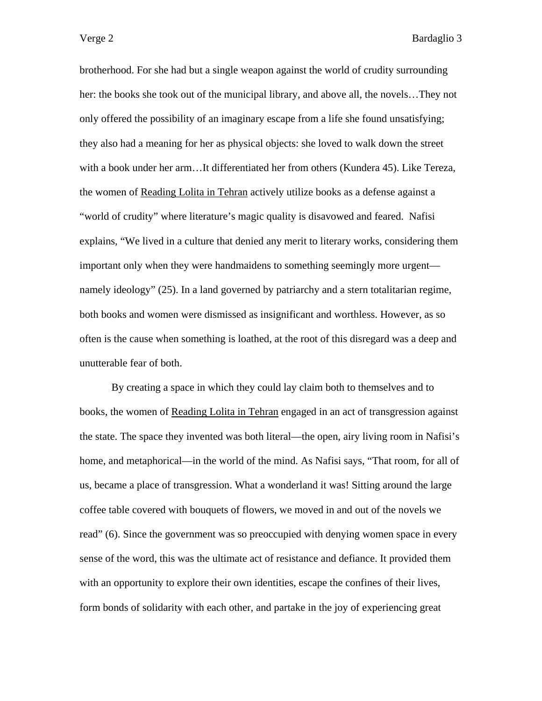brotherhood. For she had but a single weapon against the world of crudity surrounding her: the books she took out of the municipal library, and above all, the novels…They not only offered the possibility of an imaginary escape from a life she found unsatisfying; they also had a meaning for her as physical objects: she loved to walk down the street with a book under her arm…It differentiated her from others (Kundera 45). Like Tereza, the women of Reading Lolita in Tehran actively utilize books as a defense against a "world of crudity" where literature's magic quality is disavowed and feared. Nafisi explains, "We lived in a culture that denied any merit to literary works, considering them important only when they were handmaidens to something seemingly more urgent namely ideology" (25). In a land governed by patriarchy and a stern totalitarian regime, both books and women were dismissed as insignificant and worthless. However, as so often is the cause when something is loathed, at the root of this disregard was a deep and unutterable fear of both.

 By creating a space in which they could lay claim both to themselves and to books, the women of Reading Lolita in Tehran engaged in an act of transgression against the state. The space they invented was both literal—the open, airy living room in Nafisi's home, and metaphorical—in the world of the mind. As Nafisi says, "That room, for all of us, became a place of transgression. What a wonderland it was! Sitting around the large coffee table covered with bouquets of flowers, we moved in and out of the novels we read" (6). Since the government was so preoccupied with denying women space in every sense of the word, this was the ultimate act of resistance and defiance. It provided them with an opportunity to explore their own identities, escape the confines of their lives, form bonds of solidarity with each other, and partake in the joy of experiencing great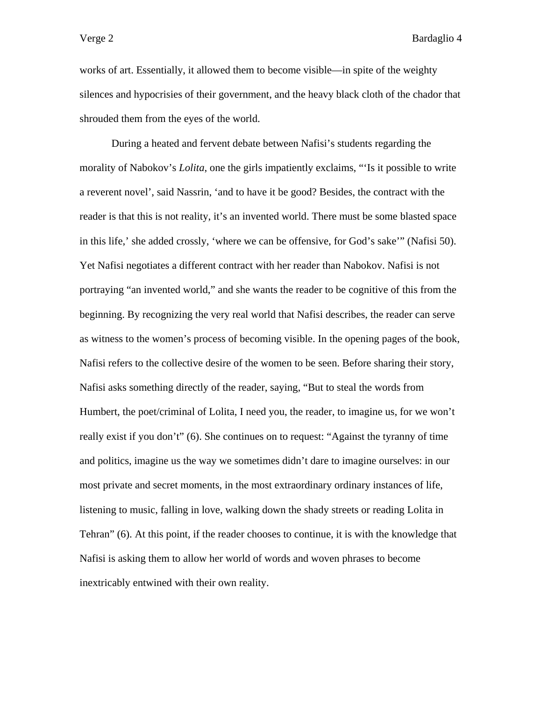works of art. Essentially, it allowed them to become visible—in spite of the weighty silences and hypocrisies of their government, and the heavy black cloth of the chador that shrouded them from the eyes of the world.

 During a heated and fervent debate between Nafisi's students regarding the morality of Nabokov's *Lolita*, one the girls impatiently exclaims, "'Is it possible to write a reverent novel', said Nassrin, 'and to have it be good? Besides, the contract with the reader is that this is not reality, it's an invented world. There must be some blasted space in this life,' she added crossly, 'where we can be offensive, for God's sake'" (Nafisi 50). Yet Nafisi negotiates a different contract with her reader than Nabokov. Nafisi is not portraying "an invented world," and she wants the reader to be cognitive of this from the beginning. By recognizing the very real world that Nafisi describes, the reader can serve as witness to the women's process of becoming visible. In the opening pages of the book, Nafisi refers to the collective desire of the women to be seen. Before sharing their story, Nafisi asks something directly of the reader, saying, "But to steal the words from Humbert, the poet/criminal of Lolita, I need you, the reader, to imagine us, for we won't really exist if you don't" (6). She continues on to request: "Against the tyranny of time and politics, imagine us the way we sometimes didn't dare to imagine ourselves: in our most private and secret moments, in the most extraordinary ordinary instances of life, listening to music, falling in love, walking down the shady streets or reading Lolita in Tehran" (6). At this point, if the reader chooses to continue, it is with the knowledge that Nafisi is asking them to allow her world of words and woven phrases to become inextricably entwined with their own reality.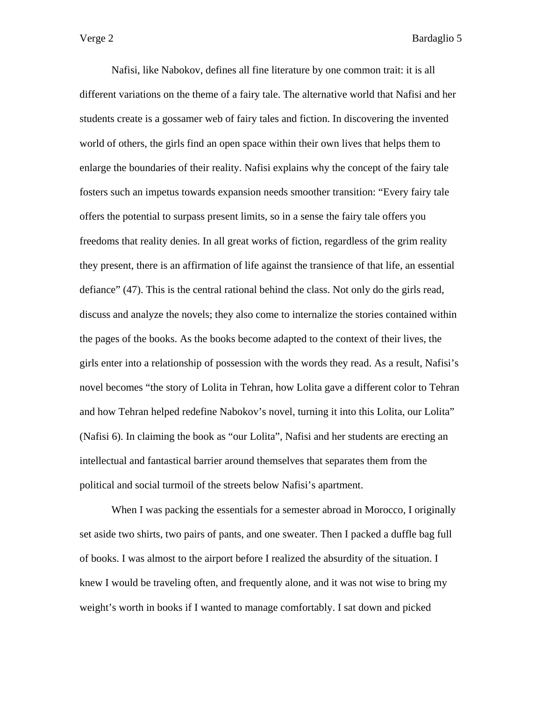Nafisi, like Nabokov, defines all fine literature by one common trait: it is all different variations on the theme of a fairy tale. The alternative world that Nafisi and her students create is a gossamer web of fairy tales and fiction. In discovering the invented world of others, the girls find an open space within their own lives that helps them to enlarge the boundaries of their reality. Nafisi explains why the concept of the fairy tale fosters such an impetus towards expansion needs smoother transition: "Every fairy tale offers the potential to surpass present limits, so in a sense the fairy tale offers you freedoms that reality denies. In all great works of fiction, regardless of the grim reality they present, there is an affirmation of life against the transience of that life, an essential defiance" (47). This is the central rational behind the class. Not only do the girls read, discuss and analyze the novels; they also come to internalize the stories contained within the pages of the books. As the books become adapted to the context of their lives, the girls enter into a relationship of possession with the words they read. As a result, Nafisi's novel becomes "the story of Lolita in Tehran, how Lolita gave a different color to Tehran and how Tehran helped redefine Nabokov's novel, turning it into this Lolita, our Lolita" (Nafisi 6). In claiming the book as "our Lolita", Nafisi and her students are erecting an intellectual and fantastical barrier around themselves that separates them from the political and social turmoil of the streets below Nafisi's apartment.

When I was packing the essentials for a semester abroad in Morocco, I originally set aside two shirts, two pairs of pants, and one sweater. Then I packed a duffle bag full of books. I was almost to the airport before I realized the absurdity of the situation. I knew I would be traveling often, and frequently alone, and it was not wise to bring my weight's worth in books if I wanted to manage comfortably. I sat down and picked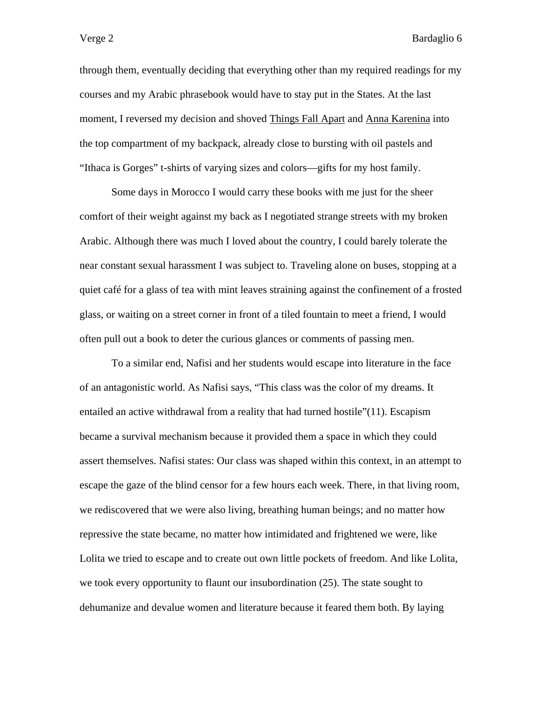through them, eventually deciding that everything other than my required readings for my courses and my Arabic phrasebook would have to stay put in the States. At the last moment, I reversed my decision and shoved Things Fall Apart and Anna Karenina into the top compartment of my backpack, already close to bursting with oil pastels and "Ithaca is Gorges" t-shirts of varying sizes and colors—gifts for my host family.

 Some days in Morocco I would carry these books with me just for the sheer comfort of their weight against my back as I negotiated strange streets with my broken Arabic. Although there was much I loved about the country, I could barely tolerate the near constant sexual harassment I was subject to. Traveling alone on buses, stopping at a quiet café for a glass of tea with mint leaves straining against the confinement of a frosted glass, or waiting on a street corner in front of a tiled fountain to meet a friend, I would often pull out a book to deter the curious glances or comments of passing men.

 To a similar end, Nafisi and her students would escape into literature in the face of an antagonistic world. As Nafisi says, "This class was the color of my dreams. It entailed an active withdrawal from a reality that had turned hostile"(11). Escapism became a survival mechanism because it provided them a space in which they could assert themselves. Nafisi states: Our class was shaped within this context, in an attempt to escape the gaze of the blind censor for a few hours each week. There, in that living room, we rediscovered that we were also living, breathing human beings; and no matter how repressive the state became, no matter how intimidated and frightened we were, like Lolita we tried to escape and to create out own little pockets of freedom. And like Lolita, we took every opportunity to flaunt our insubordination (25). The state sought to dehumanize and devalue women and literature because it feared them both. By laying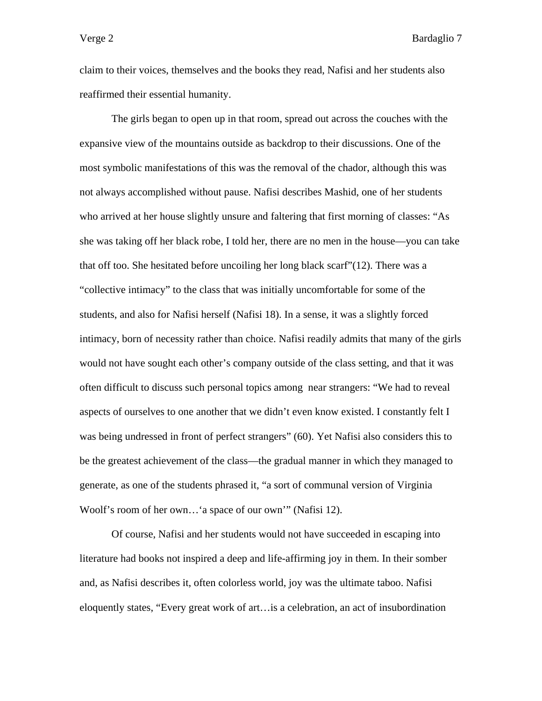claim to their voices, themselves and the books they read, Nafisi and her students also reaffirmed their essential humanity.

The girls began to open up in that room, spread out across the couches with the expansive view of the mountains outside as backdrop to their discussions. One of the most symbolic manifestations of this was the removal of the chador, although this was not always accomplished without pause. Nafisi describes Mashid, one of her students who arrived at her house slightly unsure and faltering that first morning of classes: "As she was taking off her black robe, I told her, there are no men in the house—you can take that off too. She hesitated before uncoiling her long black scarf"(12). There was a "collective intimacy" to the class that was initially uncomfortable for some of the students, and also for Nafisi herself (Nafisi 18). In a sense, it was a slightly forced intimacy, born of necessity rather than choice. Nafisi readily admits that many of the girls would not have sought each other's company outside of the class setting, and that it was often difficult to discuss such personal topics among near strangers: "We had to reveal aspects of ourselves to one another that we didn't even know existed. I constantly felt I was being undressed in front of perfect strangers" (60). Yet Nafisi also considers this to be the greatest achievement of the class—the gradual manner in which they managed to generate, as one of the students phrased it, "a sort of communal version of Virginia Woolf's room of her own…'a space of our own'" (Nafisi 12).

 Of course, Nafisi and her students would not have succeeded in escaping into literature had books not inspired a deep and life-affirming joy in them. In their somber and, as Nafisi describes it, often colorless world, joy was the ultimate taboo. Nafisi eloquently states, "Every great work of art…is a celebration, an act of insubordination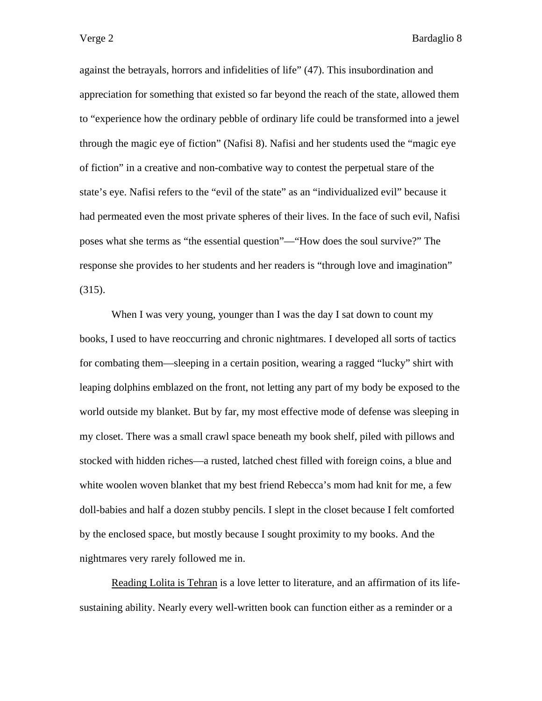against the betrayals, horrors and infidelities of life" (47). This insubordination and appreciation for something that existed so far beyond the reach of the state, allowed them to "experience how the ordinary pebble of ordinary life could be transformed into a jewel through the magic eye of fiction" (Nafisi 8). Nafisi and her students used the "magic eye of fiction" in a creative and non-combative way to contest the perpetual stare of the state's eye. Nafisi refers to the "evil of the state" as an "individualized evil" because it had permeated even the most private spheres of their lives. In the face of such evil, Nafisi poses what she terms as "the essential question"—"How does the soul survive?" The response she provides to her students and her readers is "through love and imagination" (315).

When I was very young, younger than I was the day I sat down to count my books, I used to have reoccurring and chronic nightmares. I developed all sorts of tactics for combating them—sleeping in a certain position, wearing a ragged "lucky" shirt with leaping dolphins emblazed on the front, not letting any part of my body be exposed to the world outside my blanket. But by far, my most effective mode of defense was sleeping in my closet. There was a small crawl space beneath my book shelf, piled with pillows and stocked with hidden riches—a rusted, latched chest filled with foreign coins, a blue and white woolen woven blanket that my best friend Rebecca's mom had knit for me, a few doll-babies and half a dozen stubby pencils. I slept in the closet because I felt comforted by the enclosed space, but mostly because I sought proximity to my books. And the nightmares very rarely followed me in.

Reading Lolita is Tehran is a love letter to literature, and an affirmation of its lifesustaining ability. Nearly every well-written book can function either as a reminder or a